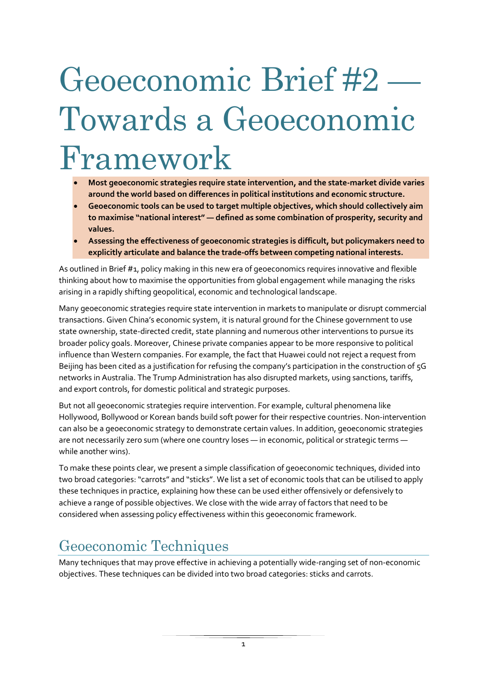# Geoeconomic Brief #2 Towards a Geoeconomic Framework

- **Most geoeconomic strategies require state intervention, and the state-market divide varies around the world based on differences in political institutions and economic structure.**
- **Geoeconomic tools can be used to target multiple objectives, which should collectively aim to maximise "national interest" — defined as some combination of prosperity, security and values.**
- **Assessing the effectiveness of geoeconomic strategies is difficult, but policymakers need to explicitly articulate and balance the trade-offs between competing national interests.**

As outlined in Brief #1, policy making in this new era of geoeconomics requires innovative and flexible thinking about how to maximise the opportunities from global engagement while managing the risks arising in a rapidly shifting geopolitical, economic and technological landscape.

Many geoeconomic strategies require state intervention in markets to manipulate or disrupt commercial transactions. Given China's economic system, it is natural ground for the Chinese government to use state ownership, state-directed credit, state planning and numerous other interventions to pursue its broader policy goals. Moreover, Chinese private companies appear to be more responsive to political influence than Western companies. For example, the fact that Huawei could not reject a request from Beijing has been cited as a justification for refusing the company's participation in the construction of 5G networks in Australia. The Trump Administration has also disrupted markets, using sanctions, tariffs, and export controls, for domestic political and strategic purposes.

But not all geoeconomic strategies require intervention. For example, cultural phenomena like Hollywood, Bollywood or Korean bands build soft power for their respective countries. Non-intervention can also be a geoeconomic strategy to demonstrate certain values. In addition, geoeconomic strategies are not necessarily zero sum (where one country loses — in economic, political or strategic terms while another wins).

To make these points clear, we present a simple classification of geoeconomic techniques, divided into two broad categories: "carrots" and "sticks". We list a set of economic tools that can be utilised to apply these techniques in practice, explaining how these can be used either offensively or defensively to achieve a range of possible objectives. We close with the wide array of factors that need to be considered when assessing policy effectiveness within this geoeconomic framework.

## Geoeconomic Techniques

Many techniques that may prove effective in achieving a potentially wide-ranging set of non-economic objectives. These techniques can be divided into two broad categories: sticks and carrots.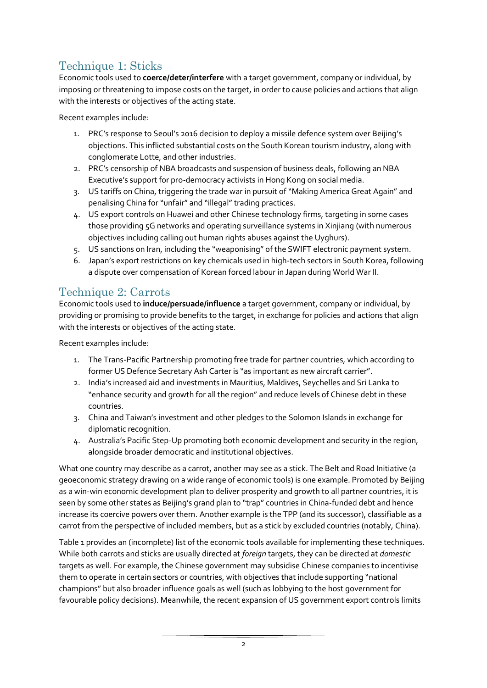### Technique 1: Sticks

Economic tools used to **coerce/deter/interfere** with a target government, company or individual, by imposing or threatening to impose costs on the target, in order to cause policies and actions that align with the interests or objectives of the acting state.

Recent examples include:

- 1. PRC's response to Seoul's 2016 decision to deploy a missile defence system over Beijing's objections. This inflicted substantial costs on the South Korean tourism industry, along with conglomerate Lotte, and other industries.
- 2. PRC's censorship of NBA broadcasts and suspension of business deals, following an NBA Executive's support for pro-democracy activists in Hong Kong on social media.
- 3. US tariffs on China, triggering the trade war in pursuit of "Making America Great Again" and penalising China for "unfair" and "illegal" trading practices.
- 4. US export controls on Huawei and other Chinese technology firms, targeting in some cases those providing 5G networks and operating surveillance systems in Xinjiang (with numerous objectives including calling out human rights abuses against the Uyghurs).
- 5. US sanctions on Iran, including the "weaponising" of the SWIFT electronic payment system.
- 6. Japan's export restrictions on key chemicals used in high-tech sectors in South Korea, following a dispute over compensation of Korean forced labour in Japan during World War II.

#### Technique 2: Carrots

Economic tools used to **induce/persuade/influence** a target government, company or individual, by providing or promising to provide benefits to the target, in exchange for policies and actions that align with the interests or objectives of the acting state.

Recent examples include:

- 1. The Trans-Pacific Partnership promoting free trade for partner countries, which according to former US Defence Secretary Ash Carter is "as important as new aircraft carrier".
- 2. India's increased aid and investments in Mauritius, Maldives, Seychelles and Sri Lanka to "enhance security and growth for all the region" and reduce levels of Chinese debt in these countries.
- 3. China and Taiwan's investment and other pledges to the Solomon Islands in exchange for diplomatic recognition.
- 4. Australia's Pacific Step-Up promoting both economic development and security in the region, alongside broader democratic and institutional objectives.

What one country may describe as a carrot, another may see as a stick. The Belt and Road Initiative (a geoeconomic strategy drawing on a wide range of economic tools) is one example. Promoted by Beijing as a win-win economic development plan to deliver prosperity and growth to all partner countries, it is seen by some other states as Beijing's grand plan to "trap" countries in China-funded debt and hence increase its coercive powers over them. Another example is the TPP (and its successor), classifiable as a carrot from the perspective of included members, but as a stick by excluded countries (notably, China).

[Table 1](#page-2-0) provides an (incomplete) list of the economic tools available for implementing these techniques. While both carrots and sticks are usually directed at *foreign* targets, they can be directed at *domestic*  targets as well. For example, the Chinese government may subsidise Chinese companies to incentivise them to operate in certain sectors or countries, with objectives that include supporting "national champions" but also broader influence goals as well (such as lobbying to the host government for favourable policy decisions). Meanwhile, the recent expansion of US government export controls limits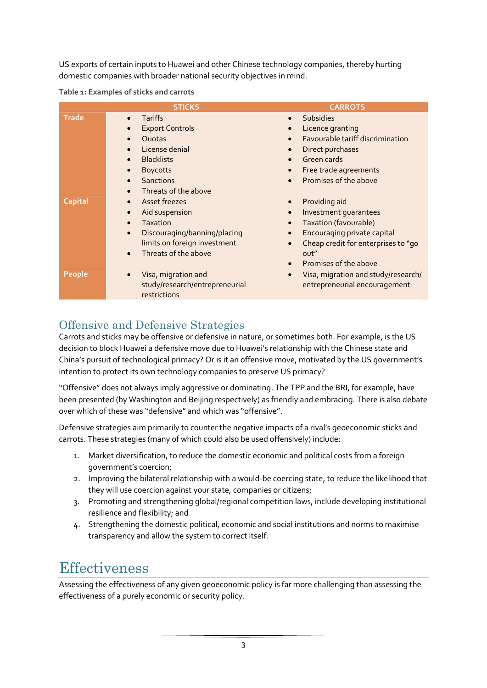US exports of certain inputs to Huawei and other Chinese technology companies, thereby hurting domestic companies with broader national security objectives in mind.

<span id="page-2-0"></span>

|                | <b>STICKS</b>                                                                                                                                                                                   | <b>CARROTS</b>                                                                                                                                                                                          |
|----------------|-------------------------------------------------------------------------------------------------------------------------------------------------------------------------------------------------|---------------------------------------------------------------------------------------------------------------------------------------------------------------------------------------------------------|
| <b>Trade</b>   | <b>Tariffs</b><br>$\bullet$<br><b>Export Controls</b><br>Quotas<br>License denial<br><b>Blacklists</b><br>$\bullet$<br><b>Boycotts</b><br><b>Sanctions</b><br>Threats of the above<br>$\bullet$ | <b>Subsidies</b><br>$\bullet$<br>Licence granting<br>Favourable tariff discrimination<br>Direct purchases<br>Green cards<br>Free trade agreements<br>Promises of the above<br>$\bullet$                 |
| <b>Capital</b> | Asset freezes<br>$\bullet$<br>Aid suspension<br>$\bullet$<br><b>Taxation</b><br>Discouraging/banning/placing<br>$\bullet$<br>limits on foreign investment<br>Threats of the above<br>$\bullet$  | Providing aid<br>$\bullet$<br>Investment quarantees<br>Taxation (favourable)<br><b>Encouraging private capital</b><br>Cheap credit for enterprises to "go<br>out"<br>Promises of the above<br>$\bullet$ |
| People         | Visa, migration and<br>$\bullet$<br>study/research/entrepreneurial<br>restrictions                                                                                                              | Visa, migration and study/research/<br>$\bullet$<br>entrepreneurial encouragement                                                                                                                       |

#### Offensive and Defensive Strategies

Carrots and sticks may be offensive or defensive in nature, or sometimes both. For example, is the US decision to block Huawei a defensive move due to Huawei's relationship with the Chinese state and China's pursuit of technological primacy? Or is it an offensive move, motivated by the US government's intention to protect its own technology companies to preserve US primacy?

"Offensive" does not always imply aggressive or dominating. The TPP and the BRI, for example, have been presented (by Washington and Beijing respectively) as friendly and embracing. There is also debate over which of these was "defensive" and which was "offensive".

Defensive strategies aim primarily to counter the negative impacts of a rival's geoeconomic sticks and carrots. These strategies (many of which could also be used offensively) include:

- 1. Market diversification, to reduce the domestic economic and political costs from a foreign government's coercion;
- 2. Improving the bilateral relationship with a would-be coercing state, to reduce the likelihood that they will use coercion against your state, companies or citizens;
- 3. Promoting and strengthening global/regional competition laws, include developing institutional resilience and flexibility; and
- 4. Strengthening the domestic political, economic and social institutions and norms to maximise transparency and allow the system to correct itself.

## **Effectiveness**

Assessing the effectiveness of any given geoeconomic policy is far more challenging than assessing the effectiveness of a purely economic or security policy.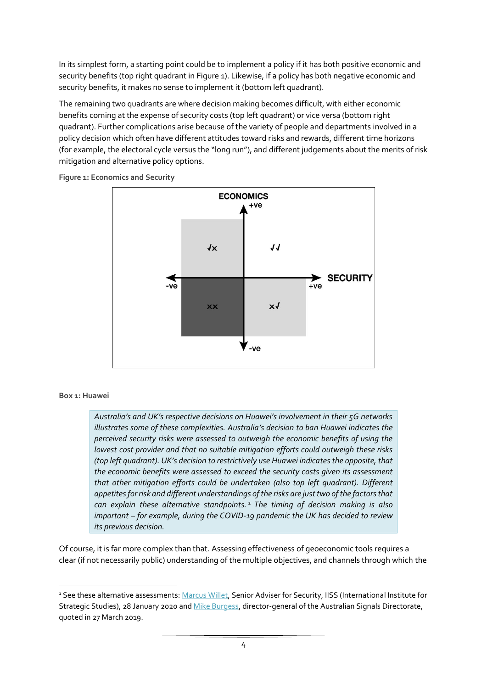In its simplest form, a starting point could be to implement a policy if it has both positive economic and security benefits (top right quadrant i[n Figure 1\)](#page-3-0). Likewise, if a policy has both negative economic and security benefits, it makes no sense to implement it (bottom left quadrant).

The remaining two quadrants are where decision making becomes difficult, with either economic benefits coming at the expense of security costs (top left quadrant) or vice versa (bottom right quadrant). Further complications arise because of the variety of people and departments involved in a policy decision which often have different attitudes toward risks and rewards, different time horizons (for example, the electoral cycle versus the "long run"), and different judgements about the merits of risk mitigation and alternative policy options.



<span id="page-3-0"></span>**Figure 1: Economics and Security**

#### **Box 1: Huawei**

*Australia's and UK's respective decisions on Huawei's involvement in their 5G networks illustrates some of these complexities. Australia's decision to ban Huawei indicates the perceived security risks were assessed to outweigh the economic benefits of using the lowest cost provider and that no suitable mitigation efforts could outweigh these risks (top left quadrant). UK's decision to restrictively use Huawei indicates the opposite, that the economic benefits were assessed to exceed the security costs given its assessment that other mitigation efforts could be undertaken (also top left quadrant). Different appetites for risk and different understandings of the risks are just two of the factors that can explain these alternative standpoints. <sup>1</sup> The timing of decision making is also important – for example, during the COVID-19 pandemic the UK has decided to review its previous decision.*

Of course, it is far more complex than that. Assessing effectiveness of geoeconomic tools requires a clear (if not necessarily public) understanding of the multiple objectives, and channels through which the

<sup>&</sup>lt;sup>1</sup> See these alternative assessments[: Marcus Willet,](https://www.iiss.org/blogs/analysis/2020/01/csfc-uk-huawei-and-5g-six-myths-debunked) Senior Adviser for Security, IISS (International Institute for Strategic Studies), 28 January 2020 an[d Mike Burgess,](https://www.ft.com/content/543621ce-504f-11e9-b401-8d9ef1626294) director-general of the Australian Signals Directorate, quoted in 27 March 2019.